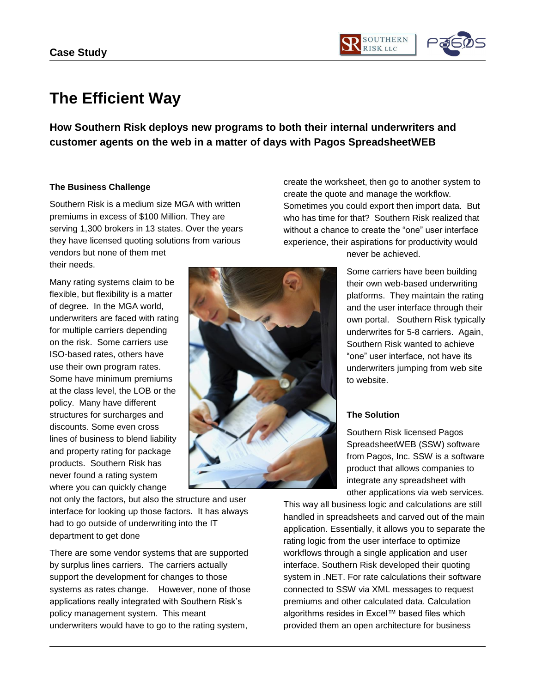

## **The Efficient Way**

**How Southern Risk deploys new programs to both their internal underwriters and customer agents on the web in a matter of days with Pagos SpreadsheetWEB**

## **The Business Challenge**

Southern Risk is a medium size MGA with written premiums in excess of \$100 Million. They are serving 1,300 brokers in 13 states. Over the years they have licensed quoting solutions from various vendors but none of them met their needs.

Many rating systems claim to be flexible, but flexibility is a matter of degree. In the MGA world, underwriters are faced with rating for multiple carriers depending on the risk. Some carriers use ISO-based rates, others have use their own program rates. Some have minimum premiums at the class level, the LOB or the policy. Many have different structures for surcharges and discounts. Some even cross lines of business to blend liability and property rating for package products. Southern Risk has never found a rating system where you can quickly change

create the quote and manage the workflow. Sometimes you could export then import data. But who has time for that? Southern Risk realized that without a chance to create the "one" user interface experience, their aspirations for productivity would never be achieved.

create the worksheet, then go to another system to

Some carriers have been building their own web-based underwriting platforms. They maintain the rating and the user interface through their own portal. Southern Risk typically underwrites for 5-8 carriers. Again, Southern Risk wanted to achieve "one" user interface, not have its underwriters jumping from web site to website.

## **The Solution**

Southern Risk licensed Pagos SpreadsheetWEB (SSW) software from Pagos, Inc. SSW is a software product that allows companies to integrate any spreadsheet with other applications via web services.

This way all business logic and calculations are still handled in spreadsheets and carved out of the main application. Essentially, it allows you to separate the rating logic from the user interface to optimize workflows through a single application and user interface. Southern Risk developed their quoting system in .NET. For rate calculations their software connected to SSW via XML messages to request premiums and other calculated data. Calculation algorithms resides in Excel™ based files which provided them an open architecture for business

not only the factors, but also the structure and user interface for looking up those factors. It has always had to go outside of underwriting into the IT department to get done

There are some vendor systems that are supported by surplus lines carriers. The carriers actually support the development for changes to those systems as rates change. However, none of those applications really integrated with Southern Risk's policy management system. This meant underwriters would have to go to the rating system,